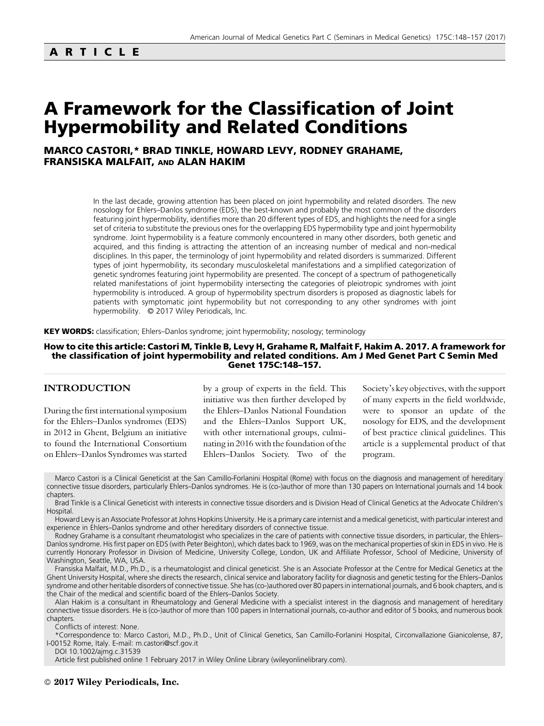# A Framework for the Classification of Joint Hypermobility and Related Conditions

MARCO CASTORI,\* BRAD TINKLE, HOWARD LEVY, RODNEY GRAHAME, FRANSISKA MALFAIT, AND ALAN HAKIM

> In the last decade, growing attention has been placed on joint hypermobility and related disorders. The new nosology for Ehlers–Danlos syndrome (EDS), the best-known and probably the most common of the disorders featuring joint hypermobility, identifies more than 20 different types of EDS, and highlights the need for a single set of criteria to substitute the previous ones for the overlapping EDS hypermobility type and joint hypermobility syndrome. Joint hypermobility is a feature commonly encountered in many other disorders, both genetic and acquired, and this finding is attracting the attention of an increasing number of medical and non-medical disciplines. In this paper, the terminology of joint hypermobility and related disorders is summarized. Different types of joint hypermobility, its secondary musculoskeletal manifestations and a simplified categorization of genetic syndromes featuring joint hypermobility are presented. The concept of a spectrum of pathogenetically related manifestations of joint hypermobility intersecting the categories of pleiotropic syndromes with joint hypermobility is introduced. A group of hypermobility spectrum disorders is proposed as diagnostic labels for patients with symptomatic joint hypermobility but not corresponding to any other syndromes with joint hypermobility. © 2017 Wiley Periodicals, Inc.

KEY WORDS: classification; Ehlers–Danlos syndrome; joint hypermobility; nosology; terminology

#### How to cite this article: Castori M, Tinkle B, Levy H, Grahame R, Malfait F, Hakim A. 2017. A framework for the classification of joint hypermobility and related conditions. Am J Med Genet Part C Semin Med Genet 175C:148–157.

### INTRODUCTION

During the first international symposium for the Ehlers–Danlos syndromes (EDS) in 2012 in Ghent, Belgium an initiative to found the International Consortium on Ehlers–Danlos Syndromes was started by a group of experts in the field. This initiative was then further developed by the Ehlers–Danlos National Foundation and the Ehlers–Danlos Support UK, with other international groups, culminating in 2016 with the foundation of the Ehlers–Danlos Society. Two of the

Society's key objectives, with the support of many experts in the field worldwide, were to sponsor an update of the nosology for EDS, and the development of best practice clinical guidelines. This article is a supplemental product of that program.

Marco Castori is a Clinical Geneticist at the San Camillo-Forlanini Hospital (Rome) with focus on the diagnosis and management of hereditary connective tissue disorders, particularly Ehlers–Danlos syndromes. He is (co-)author of more than 130 papers on International journals and 14 book chapters.

Brad Tinkle is a Clinical Geneticist with interests in connective tissue disorders and is Division Head of Clinical Genetics at the Advocate Children's Hospital.

Howard Levy is an Associate Professor at Johns Hopkins University. He is a primary care internist and a medical geneticist, with particular interest and experience in Ehlers–Danlos syndrome and other hereditary disorders of connective tissue.

Rodney Grahame is a consultant rheumatologist who specializes in the care of patients with connective tissue disorders, in particular, the Ehlers– Danlos syndrome. His first paper on EDS (with Peter Beighton), which dates back to 1969, was on the mechanical properties of skin in EDS in vivo. He is currently Honorary Professor in Division of Medicine, University College, London, UK and Affiliate Professor, School of Medicine, University of Washington, Seattle, WA, USA.

Fransiska Malfait, M.D., Ph.D., is a rheumatologist and clinical geneticist. She is an Associate Professor at the Centre for Medical Genetics at the Ghent University Hospital, where she directs the research, clinical service and laboratory facility for diagnosis and genetic testing for the Ehlers–Danlos syndrome and other heritable disorders of connective tissue. She has (co-)authored over 80 papers in international journals, and 6 book chapters, and is the Chair of the medical and scientific board of the Ehlers–Danlos Society.

Alan Hakim is a consultant in Rheumatology and General Medicine with a specialist interest in the diagnosis and management of hereditary connective tissue disorders. He is (co-)author of more than 100 papers in International journals, co-author and editor of 5 books, and numerous book chapters.

Conflicts of interest: None.

\*Correspondence to: Marco Castori, M.D., Ph.D., Unit of Clinical Genetics, San Camillo-Forlanini Hospital, Circonvallazione Gianicolense, 87, I-00152 Rome, Italy. E-mail: m.castori@scf.gov.it

DOI 10.1002/ajmg.c.31539

Article first published online 1 February 2017 in Wiley Online Library (wileyonlinelibrary.com).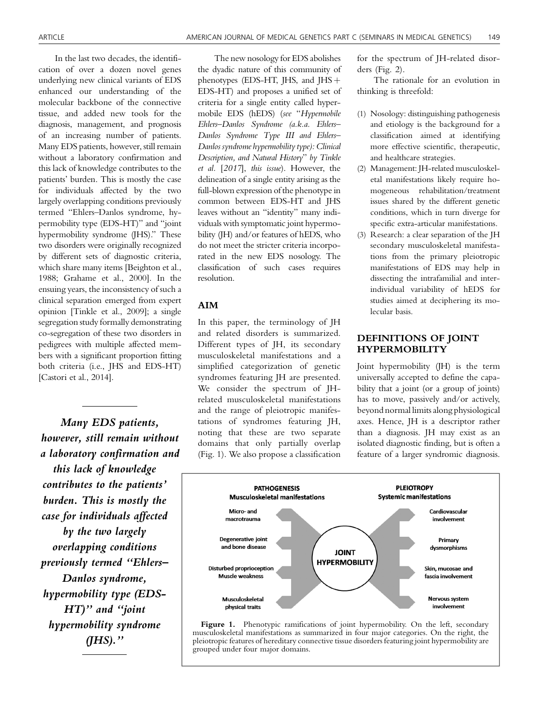In the last two decades, the identification of over a dozen novel genes underlying new clinical variants of EDS enhanced our understanding of the molecular backbone of the connective tissue, and added new tools for the diagnosis, management, and prognosis of an increasing number of patients. Many EDS patients, however, still remain without a laboratory confirmation and this lack of knowledge contributes to the patients' burden. This is mostly the case for individuals affected by the two largely overlapping conditions previously termed "Ehlers–Danlos syndrome, hypermobility type (EDS-HT)" and "joint hypermobility syndrome (JHS)." These two disorders were originally recognized by different sets of diagnostic criteria, which share many items [Beighton et al., 1988; Grahame et al., 2000]. In the ensuing years, the inconsistency of such a clinical separation emerged from expert opinion [Tinkle et al., 2009]; a single segregation study formally demonstrating co-segregation of these two disorders in pedigrees with multiple affected members with a significant proportion fitting both criteria (i.e., JHS and EDS-HT) [Castori et al., 2014].

# Many EDS patients, however, still remain without a laboratory confirmation and

this lack of knowledge contributes to the patients' burden. This is mostly the case for individuals affected by the two largely overlapping conditions previously termed "Ehlers– Danlos syndrome, hypermobility type (EDS-HT)" and "joint hypermobility syndrome  $(HIS).$ "

The new nosology for EDS abolishes the dyadic nature of this community of phenotypes (EDS-HT, JHS, and JHS  $+$ EDS-HT) and proposes a unified set of criteria for a single entity called hypermobile EDS (hEDS) (see "Hypermobile Ehlers–Danlos Syndrome (a.k.a. Ehlers– Danlos Syndrome Type III and Ehlers– Danlos syndrome hypermobility type): Clinical Description, and Natural History" by Tinkle et al. [2017], this issue). However, the delineation of a single entity arising as the full-blown expression of the phenotype in common between EDS-HT and JHS leaves without an "identity" many individuals with symptomatic joint hypermobility (JH) and/or features of hEDS, who do not meet the stricter criteria incorporated in the new EDS nosology. The classification of such cases requires resolution.

## AIM

In this paper, the terminology of JH and related disorders is summarized. Different types of JH, its secondary musculoskeletal manifestations and a simplified categorization of genetic syndromes featuring JH are presented. We consider the spectrum of JHrelated musculoskeletal manifestations and the range of pleiotropic manifestations of syndromes featuring JH, noting that these are two separate domains that only partially overlap (Fig. 1). We also propose a classification for the spectrum of JH-related disorders (Fig. 2).

The rationale for an evolution in thinking is threefold:

- (1) Nosology: distinguishing pathogenesis and etiology is the background for a classification aimed at identifying more effective scientific, therapeutic, and healthcare strategies.
- (2) Management: JH-related musculoskeletal manifestations likely require homogeneous rehabilitation/treatment issues shared by the different genetic conditions, which in turn diverge for specific extra-articular manifestations.
- (3) Research: a clear separation of the JH secondary musculoskeletal manifestations from the primary pleiotropic manifestations of EDS may help in dissecting the intrafamilial and interindividual variability of hEDS for studies aimed at deciphering its molecular basis.

# DEFINITIONS OF JOINT HYPERMOBILITY

Joint hypermobility (JH) is the term universally accepted to define the capability that a joint (or a group of joints) has to move, passively and/or actively, beyond normal limits along physiological axes. Hence, JH is a descriptor rather than a diagnosis. JH may exist as an isolated diagnostic finding, but is often a feature of a larger syndromic diagnosis.



Figure 1. Phenotypic ramifications of joint hypermobility. On the left, secondary musculoskeletal manifestations as summarized in four major categories. On the right, the pleiotropic features of hereditary connective tissue disorders featuring joint hypermobility are grouped under four major domains.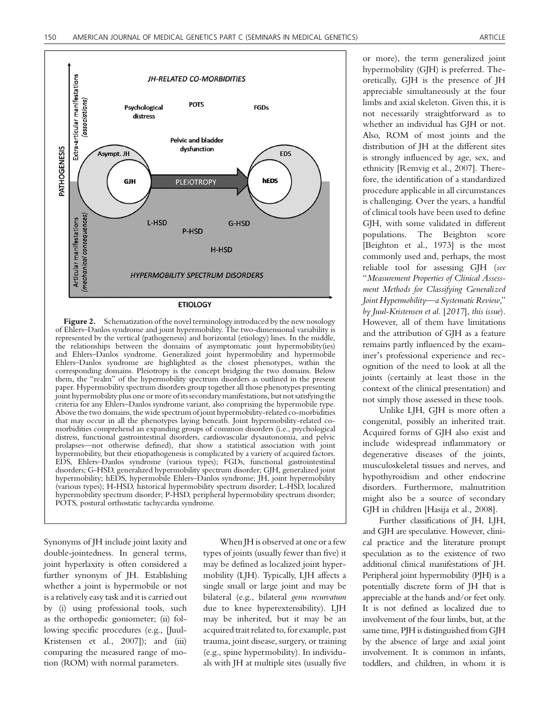

Figure 2. Schematization of the novel terminology introduced by the new nosology of Ehlers–Danlos syndrome and joint hypermobility. The two-dimensional variability is represented by the vertical (pathogenesis) and horizontal (etiology) lines. In the middle, the relationships between the domains of asymptomatic joint hypermobility(ies) and Ehlers–Danlos syndrome. Generalized joint hypermobility and hypermobile Ehlers–Danlos syndrome are highlighted as the closest phenotypes, within the corresponding domains. Pleiotropy is the concept bridging the two domains. Below them, the "realm" of the hypermobility spectrum disorders as outlined in the present paper. Hypermobility spectrum disorders group together all those phenotypes presenting joint hypermobility plus one or more of its secondary manifestations, but not satisfying the criteria for any Ehlers–Danlos syndrome variant, also comprising the hypermobile type. Above the two domains, the wide spectrum of joint hypermobility-related co-morbidities that may occur in all the phenotypes laying beneath. Joint hypermobility-related comorbidities comprehend an expanding groups of common disorders (i.e., psychological distress, functional gastrointestinal disorders, cardiovascular dysautonomia, and pelvic prolapses—not otherwise defined), that show a statistical association with joint hypermobility, but their etiopathogenesis is complicated by a variety of acquired factors. EDS, Ehlers–Danlos syndrome (various types); FGDs, functional gastrointestinal disorders; G-HSD, generalized hypermobility spectrum disorder; GJH, generalized joint hypermobility; hEDS, hypermobile Ehlers–Danlos syndrome; JH, joint hypermobility (various types); H-HSD, historical hypermobility spectrum disorder; L-HSD, localized hypermobility spectrum disorder; P-HSD, peripheral hypermobility spectrum disorder; POTS, postural orthostatic tachycardia syndrome.

Synonyms of JH include joint laxity and double-jointedness. In general terms, joint hyperlaxity is often considered a further synonym of JH. Establishing whether a joint is hypermobile or not is a relatively easy task and it is carried out by (i) using professional tools, such as the orthopedic goniometer; (ii) following specific procedures (e.g., [Juul-Kristensen et al., 2007]); and (iii) comparing the measured range of motion (ROM) with normal parameters.

When JH is observed at one or a few types of joints (usually fewer than five) it may be defined as localized joint hypermobility (LJH). Typically, LJH affects a single small or large joint and may be bilateral (e.g., bilateral genu recurvatum due to knee hyperextensibility). LJH may be inherited, but it may be an acquired trait related to, for example, past trauma, joint disease, surgery, or training (e.g., spine hypermobility). In individuals with JH at multiple sites (usually five

or more), the term generalized joint hypermobility (GJH) is preferred. Theoretically, GJH is the presence of JH appreciable simultaneously at the four limbs and axial skeleton. Given this, it is not necessarily straightforward as to whether an individual has GJH or not. Also, ROM of most joints and the distribution of JH at the different sites is strongly influenced by age, sex, and ethnicity [Remvig et al., 2007]. Therefore, the identification of a standardized procedure applicable in all circumstances is challenging. Over the years, a handful of clinical tools have been used to define GJH, with some validated in different populations. The Beighton score [Beighton et al., 1973] is the most commonly used and, perhaps, the most reliable tool for assessing GJH (see "Measurement Properties of Clinical Assessment Methods for Classifying Generalized Joint Hypermobility—a Systematic Review," by Juul-Kristensen et al. [2017], this issue). However, all of them have limitations and the attribution of GJH as a feature remains partly influenced by the examiner's professional experience and recognition of the need to look at all the joints (certainly at least those in the context of the clinical presentation) and not simply those assessed in these tools.

Unlike LJH, GJH is more often a congenital, possibly an inherited trait. Acquired forms of GJH also exist and include widespread inflammatory or degenerative diseases of the joints, musculoskeletal tissues and nerves, and hypothyroidism and other endocrine disorders. Furthermore, malnutrition might also be a source of secondary GJH in children [Hasija et al., 2008].

Further classifications of JH, LJH, and GJH are speculative. However, clinical practice and the literature prompt speculation as to the existence of two additional clinical manifestations of JH. Peripheral joint hypermobility (PJH) is a potentially discrete form of JH that is appreciable at the hands and/or feet only. It is not defined as localized due to involvement of the four limbs, but, at the same time, PJH is distinguished from GJH by the absence of large and axial joint involvement. It is common in infants, toddlers, and children, in whom it is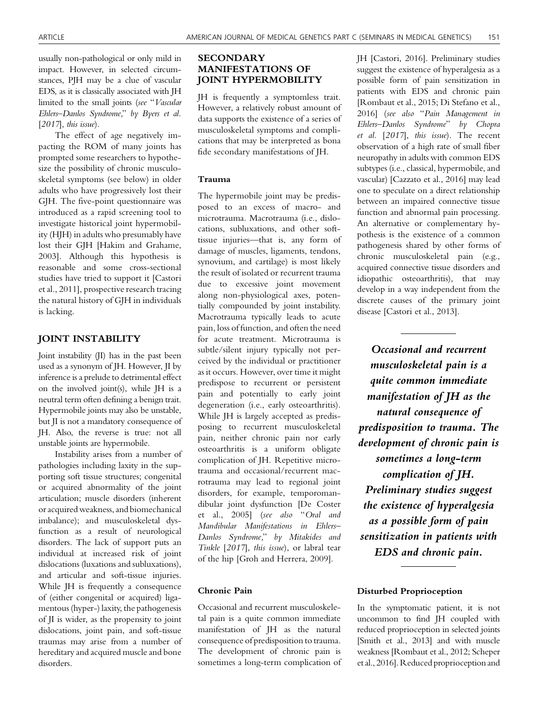usually non-pathological or only mild in impact. However, in selected circumstances, PJH may be a clue of vascular EDS, as it is classically associated with JH limited to the small joints (see "Vascular Ehlers–Danlos Syndrome," by Byers et al. [2017], this issue).

The effect of age negatively impacting the ROM of many joints has prompted some researchers to hypothesize the possibility of chronic musculoskeletal symptoms (see below) in older adults who have progressively lost their GJH. The five-point questionnaire was introduced as a rapid screening tool to investigate historical joint hypermobility (HJH) in adults who presumably have lost their GJH [Hakim and Grahame, 2003]. Although this hypothesis is reasonable and some cross-sectional studies have tried to support it [Castori et al., 2011], prospective research tracing the natural history of GJH in individuals is lacking.

## JOINT INSTABILITY

Joint instability (JI) has in the past been used as a synonym of JH. However, JI by inference is a prelude to detrimental effect on the involved joint(s), while JH is a neutral term often defining a benign trait. Hypermobile joints may also be unstable, but JI is not a mandatory consequence of JH. Also, the reverse is true: not all unstable joints are hypermobile.

Instability arises from a number of pathologies including laxity in the supporting soft tissue structures; congenital or acquired abnormality of the joint articulation; muscle disorders (inherent or acquired weakness, and biomechanical imbalance); and musculoskeletal dysfunction as a result of neurological disorders. The lack of support puts an individual at increased risk of joint dislocations (luxations and subluxations), and articular and soft-tissue injuries. While JH is frequently a consequence of (either congenital or acquired) ligamentous (hyper-) laxity, the pathogenesis of JI is wider, as the propensity to joint dislocations, joint pain, and soft-tissue traumas may arise from a number of hereditary and acquired muscle and bone disorders.

# SECONDARY MANIFESTATIONS OF JOINT HYPERMOBILITY

JH is frequently a symptomless trait. However, a relatively robust amount of data supports the existence of a series of musculoskeletal symptoms and complications that may be interpreted as bona fide secondary manifestations of JH.

## Trauma

The hypermobile joint may be predisposed to an excess of macro- and microtrauma. Macrotrauma (i.e., dislocations, subluxations, and other softtissue injuries—that is, any form of damage of muscles, ligaments, tendons, synovium, and cartilage) is most likely the result of isolated or recurrent trauma due to excessive joint movement along non-physiological axes, potentially compounded by joint instability. Macrotrauma typically leads to acute pain, loss of function, and often the need for acute treatment. Microtrauma is subtle/silent injury typically not perceived by the individual or practitioner as it occurs. However, over time it might predispose to recurrent or persistent pain and potentially to early joint degeneration (i.e., early osteoarthritis). While JH is largely accepted as predisposing to recurrent musculoskeletal pain, neither chronic pain nor early osteoarthritis is a uniform obligate complication of JH. Repetitive microtrauma and occasional/recurrent macrotrauma may lead to regional joint disorders, for example, temporomandibular joint dysfunction [De Coster et al., 2005] (see also "Oral and Mandibular Manifestations in Ehlers– Danlos Syndrome," by Mitakides and Tinkle [2017], this issue), or labral tear of the hip [Groh and Herrera, 2009].

## Chronic Pain

Occasional and recurrent musculoskeletal pain is a quite common immediate manifestation of JH as the natural consequence of predisposition to trauma. The development of chronic pain is sometimes a long-term complication of JH [Castori, 2016]. Preliminary studies suggest the existence of hyperalgesia as a possible form of pain sensitization in patients with EDS and chronic pain [Rombaut et al., 2015; Di Stefano et al., 2016] (see also "Pain Management in Ehlers–Danlos Syndrome" by Chopra et al. [2017], this issue). The recent observation of a high rate of small fiber neuropathy in adults with common EDS subtypes (i.e., classical, hypermobile, and vascular) [Cazzato et al., 2016] may lead one to speculate on a direct relationship between an impaired connective tissue function and abnormal pain processing. An alternative or complementary hypothesis is the existence of a common pathogenesis shared by other forms of chronic musculoskeletal pain (e.g., acquired connective tissue disorders and idiopathic osteoarthritis), that may develop in a way independent from the discrete causes of the primary joint disease [Castori et al., 2013].

Occasional and recurrent musculoskeletal pain is a quite common immediate manifestation of JH as the natural consequence of predisposition to trauma. The development of chronic pain is sometimes a long-term complication of JH. Preliminary studies suggest the existence of hyperalgesia as a possible form of pain sensitization in patients with EDS and chronic pain.

### Disturbed Proprioception

In the symptomatic patient, it is not uncommon to find JH coupled with reduced proprioception in selected joints [Smith et al., 2013] and with muscle weakness [Rombaut et al., 2012; Scheper et al., 2016]. Reduced proprioception and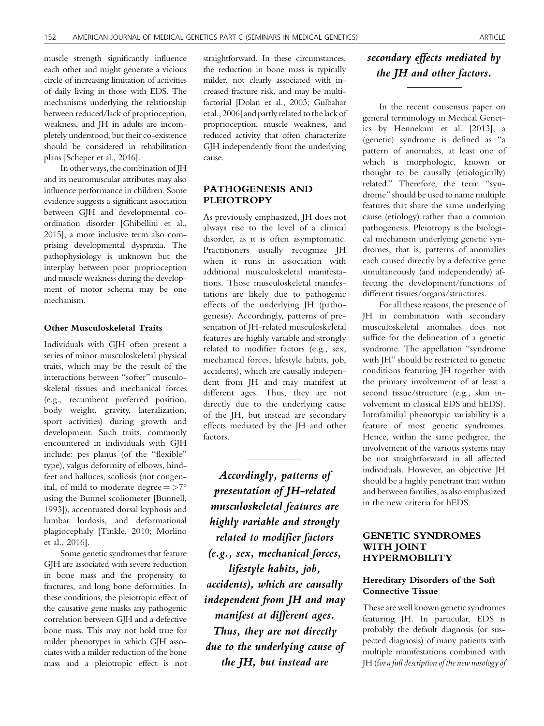muscle strength significantly influence each other and might generate a vicious circle of increasing limitation of activities of daily living in those with EDS. The mechanisms underlying the relationship between reduced/lack of proprioception, weakness, and JH in adults are incompletely understood, but their co-existence should be considered in rehabilitation plans [Scheper et al., 2016].

In other ways, the combination of JH and its neuromuscular attributes may also influence performance in children. Some evidence suggests a significant association between GJH and developmental coordination disorder [Ghibellini et al., 2015], a more inclusive term also comprising developmental dyspraxia. The pathophysiology is unknown but the interplay between poor proprioception and muscle weakness during the development of motor schema may be one mechanism.

### Other Musculoskeletal Traits

Individuals with GJH often present a series of minor musculoskeletal physical traits, which may be the result of the interactions between "softer" musculoskeletal tissues and mechanical forces (e.g., recumbent preferred position, body weight, gravity, lateralization, sport activities) during growth and development. Such traits, commonly encountered in individuals with GJH include: pes planus (of the "flexible" type), valgus deformity of elbows, hindfeet and halluces, scoliosis (not congenital, of mild to moderate degree  $\approx$  >7° using the Bunnel scoliometer [Bunnell, 1993]), accentuated dorsal kyphosis and lumbar lordosis, and deformational plagiocephaly [Tinkle, 2010; Morlino et al., 2016].

Some genetic syndromes that feature GJH are associated with severe reduction in bone mass and the propensity to fractures, and long bone deformities. In these conditions, the pleiotropic effect of the causative gene masks any pathogenic correlation between GJH and a defective bone mass. This may not hold true for milder phenotypes in which GJH associates with a milder reduction of the bone mass and a pleiotropic effect is not

straightforward. In these circumstances, the reduction in bone mass is typically milder, not clearly associated with increased fracture risk, and may be multifactorial [Dolan et al., 2003; Gulbahar et al., 2006] and partly related to the lack of proprioception, muscle weakness, and reduced activity that often characterize GJH independently from the underlying cause.

### PATHOGENESIS AND PLEIOTROPY

As previously emphasized, JH does not always rise to the level of a clinical disorder, as it is often asymptomatic. Practitioners usually recognize JH when it runs in association with additional musculoskeletal manifestations. Those musculoskeletal manifestations are likely due to pathogenic effects of the underlying JH (pathogenesis). Accordingly, patterns of presentation of JH-related musculoskeletal features are highly variable and strongly related to modifier factors (e.g., sex, mechanical forces, lifestyle habits, job, accidents), which are causally independent from JH and may manifest at different ages. Thus, they are not directly due to the underlying cause of the JH, but instead are secondary effects mediated by the JH and other factors.

Accordingly, patterns of presentation of JH-related musculoskeletal features are highly variable and strongly related to modifier factors (e.g., sex, mechanical forces, lifestyle habits, job, accidents), which are causally independent from JH and may manifest at different ages. Thus, they are not directly due to the underlying cause of the JH, but instead are

# secondary effects mediated by the JH and other factors.

In the recent consensus paper on general terminology in Medical Genetics by Hennekam et al. [2013], a (genetic) syndrome is defined as "a pattern of anomalies, at least one of which is morphologic, known or thought to be causally (etiologically) related." Therefore, the term "syndrome" should be used to name multiple features that share the same underlying cause (etiology) rather than a common pathogenesis. Pleiotropy is the biological mechanism underlying genetic syndromes, that is, patterns of anomalies each caused directly by a defective gene simultaneously (and independently) affecting the development/functions of different tissues/organs/structures.

For all these reasons, the presence of JH in combination with secondary musculoskeletal anomalies does not suffice for the delineation of a genetic syndrome. The appellation "syndrome with JH" should be restricted to genetic conditions featuring JH together with the primary involvement of at least a second tissue/structure (e.g., skin involvement in classical EDS and hEDS). Intrafamilial phenotypic variability is a feature of most genetic syndromes. Hence, within the same pedigree, the involvement of the various systems may be not straightforward in all affected individuals. However, an objective JH should be a highly penetrant trait within and between families, as also emphasized in the new criteria for hEDS.

# GENETIC SYNDROMES WITH JOINT HYPERMOBILITY

### Hereditary Disorders of the Soft Connective Tissue

These are well known genetic syndromes featuring JH. In particular, EDS is probably the default diagnosis (or suspected diagnosis) of many patients with multiple manifestations combined with JH (for a full description of the new nosology of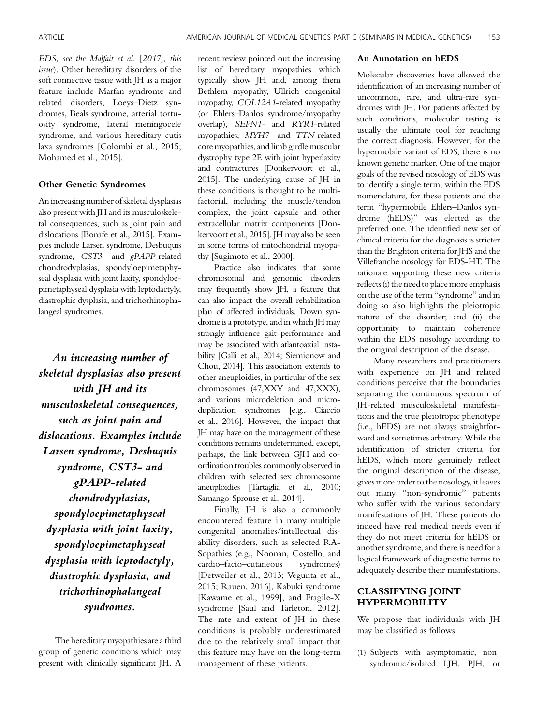EDS, see the Malfait et al. [2017], this issue). Other hereditary disorders of the soft connective tissue with JH as a major feature include Marfan syndrome and related disorders, Loeys–Dietz syndromes, Beals syndrome, arterial tortuosity syndrome, lateral meningocele syndrome, and various hereditary cutis laxa syndromes [Colombi et al., 2015; Mohamed et al., 2015].

### Other Genetic Syndromes

An increasing number of skeletal dysplasias also present with JH and its musculoskeletal consequences, such as joint pain and dislocations [Bonafe et al., 2015]. Examples include Larsen syndrome, Desbuquis syndrome, CST3- and gPAPP-related chondrodyplasias, spondyloepimetaphyseal dysplasia with joint laxity, spondyloepimetaphyseal dysplasia with leptodactyly, diastrophic dysplasia, and trichorhinophalangeal syndromes.

An increasing number of skeletal dysplasias also present with JH and its musculoskeletal consequences, such as joint pain and dislocations. Examples include Larsen syndrome, Desbuquis syndrome, CST3- and gPAPP-related chondrodyplasias, spondyloepimetaphyseal dysplasia with joint laxity, spondyloepimetaphyseal dysplasia with leptodactyly, diastrophic dysplasia, and trichorhinophalangeal syndromes.

recent review pointed out the increasing list of hereditary myopathies which typically show JH and, among them Bethlem myopathy, Ullrich congenital myopathy, COL12A1-related myopathy (or Ehlers–Danlos syndrome/myopathy overlap), SEPN1- and RYR1-related myopathies, MYH7- and TTN-related core myopathies, and limb girdle muscular dystrophy type 2E with joint hyperlaxity and contractures [Donkervoort et al., 2015]. The underlying cause of JH in these conditions is thought to be multifactorial, including the muscle/tendon complex, the joint capsule and other extracellular matrix components [Donkervoort et al., 2015]. JH may also be seen in some forms of mitochondrial myopathy [Sugimoto et al., 2000].

Practice also indicates that some chromosomal and genomic disorders may frequently show JH, a feature that can also impact the overall rehabilitation plan of affected individuals. Down syndrome is a prototype, and in which JH may strongly influence gait performance and may be associated with atlantoaxial instability [Galli et al., 2014; Siemionow and Chou, 2014]. This association extends to other aneuploidies, in particular of the sex chromosomes (47,XXY and 47,XXX), and various microdeletion and microduplication syndromes [e.g., Ciaccio et al., 2016]. However, the impact that JH may have on the management of these conditions remains undetermined, except, perhaps, the link between GJH and coordination troubles commonly observed in children with selected sex chromosome aneuploidies [Tartaglia et al., 2010; Samango-Sprouse et al., 2014].

Finally, JH is also a commonly encountered feature in many multiple congenital anomalies/intellectual disability disorders, such as selected RA-Sopathies (e.g., Noonan, Costello, and cardio–facio–cutaneous syndromes) [Detweiler et al., 2013; Vegunta et al., 2015; Rauen, 2016], Kabuki syndrome [Kawame et al., 1999], and Fragile-X syndrome [Saul and Tarleton, 2012]. The rate and extent of JH in these conditions is probably underestimated due to the relatively small impact that this feature may have on the long-term management of these patients.

#### An Annotation on hEDS

Molecular discoveries have allowed the identification of an increasing number of uncommon, rare, and ultra-rare syndromes with JH. For patients affected by such conditions, molecular testing is usually the ultimate tool for reaching the correct diagnosis. However, for the hypermobile variant of EDS, there is no known genetic marker. One of the major goals of the revised nosology of EDS was to identify a single term, within the EDS nomenclature, for these patients and the term "hypermobile Ehlers–Danlos syndrome (hEDS)" was elected as the preferred one. The identified new set of clinical criteria for the diagnosis is stricter than the Brighton criteria for JHS and the Villefranche nosology for EDS-HT. The rationale supporting these new criteria reflects (i) the need to place more emphasis on the use of the term "syndrome" and in doing so also highlights the pleiotropic nature of the disorder; and (ii) the opportunity to maintain coherence within the EDS nosology according to the original description of the disease.

Many researchers and practitioners with experience on JH and related conditions perceive that the boundaries separating the continuous spectrum of JH-related musculoskeletal manifestations and the true pleiotropic phenotype (i.e., hEDS) are not always straightforward and sometimes arbitrary. While the identification of stricter criteria for hEDS, which more genuinely reflect the original description of the disease, gives more order to the nosology, it leaves out many "non-syndromic" patients who suffer with the various secondary manifestations of JH. These patients do indeed have real medical needs even if they do not meet criteria for hEDS or another syndrome, and there is need for a logical framework of diagnostic terms to adequately describe their manifestations.

### CLASSIFYING JOINT HYPERMOBILITY

We propose that individuals with JH may be classified as follows:

(1) Subjects with asymptomatic, nonsyndromic/isolated LJH, PJH, or

The hereditary myopathies are athird group of genetic conditions which may present with clinically significant JH. A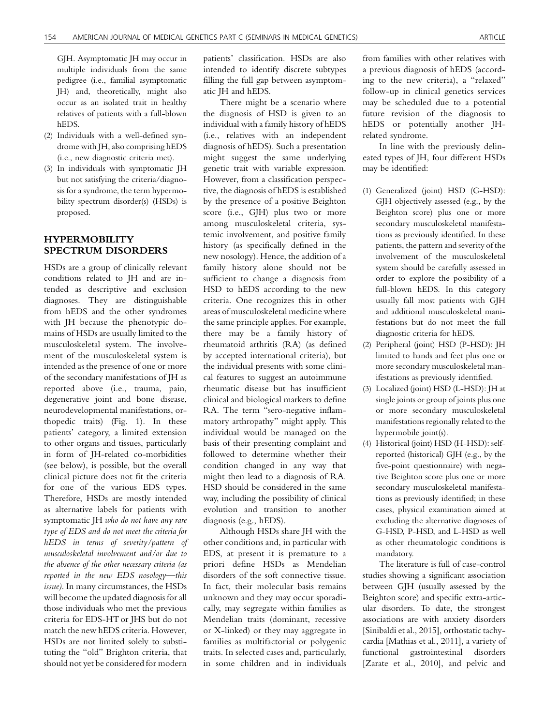GJH. Asymptomatic JH may occur in multiple individuals from the same pedigree (i.e., familial asymptomatic JH) and, theoretically, might also occur as an isolated trait in healthy relatives of patients with a full-blown hEDS.

- (2) Individuals with a well-defined syndrome with JH, also comprising hEDS (i.e., new diagnostic criteria met).
- (3) In individuals with symptomatic JH but not satisfying the criteria/diagnosis for a syndrome, the term hypermobility spectrum disorder(s) (HSDs) is proposed.

# HYPERMOBILITY SPECTRUM DISORDERS

HSDs are a group of clinically relevant conditions related to JH and are intended as descriptive and exclusion diagnoses. They are distinguishable from hEDS and the other syndromes with JH because the phenotypic domains of HSDs are usually limited to the musculoskeletal system. The involvement of the musculoskeletal system is intended as the presence of one or more of the secondary manifestations of JH as reported above (i.e., trauma, pain, degenerative joint and bone disease, neurodevelopmental manifestations, orthopedic traits) (Fig. 1). In these patients' category, a limited extension to other organs and tissues, particularly in form of JH-related co-morbidities (see below), is possible, but the overall clinical picture does not fit the criteria for one of the various EDS types. Therefore, HSDs are mostly intended as alternative labels for patients with symptomatic JH who do not have any rare type of EDS and do not meet the criteria for hEDS in terms of severity/pattern of musculoskeletal involvement and/or due to the absence of the other necessary criteria (as reported in the new EDS nosology—this issue). In many circumstances, the HSDs will become the updated diagnosis for all those individuals who met the previous criteria for EDS-HT or JHS but do not match the new hEDS criteria. However, HSDs are not limited solely to substituting the "old" Brighton criteria, that should not yet be considered for modern

patients' classification. HSDs are also intended to identify discrete subtypes filling the full gap between asymptomatic JH and hEDS.

There might be a scenario where the diagnosis of HSD is given to an individual with a family history of hEDS (i.e., relatives with an independent diagnosis of hEDS). Such a presentation might suggest the same underlying genetic trait with variable expression. However, from a classification perspective, the diagnosis of hEDS is established by the presence of a positive Beighton score (i.e., GJH) plus two or more among musculoskeletal criteria, systemic involvement, and positive family history (as specifically defined in the new nosology). Hence, the addition of a family history alone should not be sufficient to change a diagnosis from HSD to hEDS according to the new criteria. One recognizes this in other areas of musculoskeletal medicine where the same principle applies. For example, there may be a family history of rheumatoid arthritis (RA) (as defined by accepted international criteria), but the individual presents with some clinical features to suggest an autoimmune rheumatic disease but has insufficient clinical and biological markers to define RA. The term "sero-negative inflammatory arthropathy" might apply. This individual would be managed on the basis of their presenting complaint and followed to determine whether their condition changed in any way that might then lead to a diagnosis of RA. HSD should be considered in the same way, including the possibility of clinical evolution and transition to another diagnosis (e.g., hEDS).

Although HSDs share JH with the other conditions and, in particular with EDS, at present it is premature to a priori define HSDs as Mendelian disorders of the soft connective tissue. In fact, their molecular basis remains unknown and they may occur sporadically, may segregate within families as Mendelian traits (dominant, recessive or X-linked) or they may aggregate in families as multifactorial or polygenic traits. In selected cases and, particularly, in some children and in individuals

from families with other relatives with a previous diagnosis of hEDS (according to the new criteria), a "relaxed" follow-up in clinical genetics services may be scheduled due to a potential future revision of the diagnosis to hEDS or potentially another JHrelated syndrome.

In line with the previously delineated types of JH, four different HSDs may be identified:

- (1) Generalized (joint) HSD (G-HSD): GJH objectively assessed (e.g., by the Beighton score) plus one or more secondary musculoskeletal manifestations as previously identified. In these patients, the pattern and severity of the involvement of the musculoskeletal system should be carefully assessed in order to explore the possibility of a full-blown hEDS. In this category usually fall most patients with GJH and additional musculoskeletal manifestations but do not meet the full diagnostic criteria for hEDS.
- (2) Peripheral (joint) HSD (P-HSD): JH limited to hands and feet plus one or more secondary musculoskeletal manifestations as previously identified.
- (3) Localized (joint) HSD (L-HSD): JH at single joints or group of joints plus one or more secondary musculoskeletal manifestations regionally related to the hypermobile joint(s).
- (4) Historical (joint) HSD (H-HSD): selfreported (historical) GJH (e.g., by the five-point questionnaire) with negative Beighton score plus one or more secondary musculoskeletal manifestations as previously identified; in these cases, physical examination aimed at excluding the alternative diagnoses of G-HSD, P-HSD, and L-HSD as well as other rheumatologic conditions is mandatory.

The literature is full of case-control studies showing a significant association between GJH (usually assessed by the Beighton score) and specific extra-articular disorders. To date, the strongest associations are with anxiety disorders [Sinibaldi et al., 2015], orthostatic tachycardia [Mathias et al., 2011], a variety of functional gastrointestinal disorders [Zarate et al., 2010], and pelvic and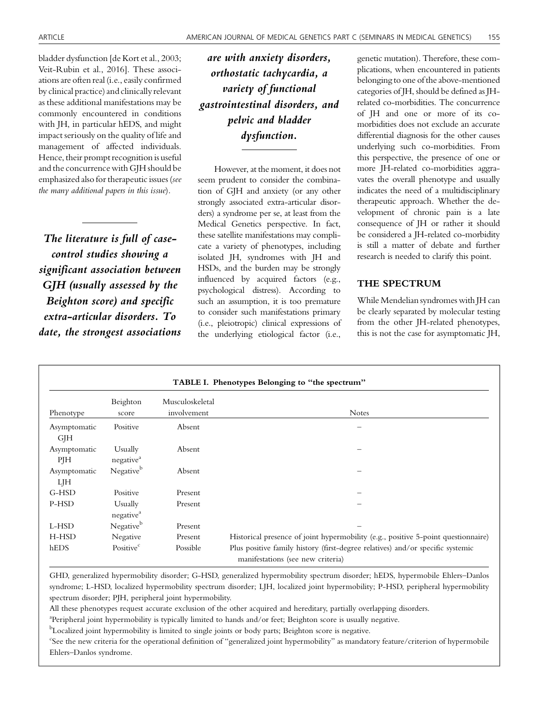bladder dysfunction [de Kort et al., 2003; Veit-Rubin et al., 2016]. These associations are often real (i.e., easily confirmed by clinical practice) and clinically relevant as these additional manifestations may be commonly encountered in conditions with JH, in particular hEDS, and might impact seriously on the quality of life and management of affected individuals. Hence, their prompt recognition is useful and the concurrence with GJH should be emphasized also for therapeutic issues (see the many additional papers in this issue).

The literature is full of casecontrol studies showing a significant association between GJH (usually assessed by the Beighton score) and specific extra-articular disorders. To date, the strongest associations

are with anxiety disorders, orthostatic tachycardia, a variety of functional gastrointestinal disorders, and pelvic and bladder dysfunction.

However, at the moment, it does not seem prudent to consider the combination of GJH and anxiety (or any other strongly associated extra-articular disorders) a syndrome per se, at least from the Medical Genetics perspective. In fact, these satellite manifestations may complicate a variety of phenotypes, including isolated JH, syndromes with JH and HSDs, and the burden may be strongly influenced by acquired factors (e.g., psychological distress). According to such an assumption, it is too premature to consider such manifestations primary (i.e., pleiotropic) clinical expressions of the underlying etiological factor (i.e.,

genetic mutation). Therefore, these complications, when encountered in patients belonging to one of the above-mentioned categories of JH, should be defined as JHrelated co-morbidities. The concurrence of JH and one or more of its comorbidities does not exclude an accurate differential diagnosis for the other causes underlying such co-morbidities. From this perspective, the presence of one or more JH-related co-morbidities aggravates the overall phenotype and usually indicates the need of a multidisciplinary therapeutic approach. Whether the development of chronic pain is a late consequence of JH or rather it should be considered a JH-related co-morbidity is still a matter of debate and further research is needed to clarify this point.

### THE SPECTRUM

While Mendelian syndromes with JH can be clearly separated by molecular testing from the other JH-related phenotypes, this is not the case for asymptomatic JH,

| TABLE I. Phenotypes Belonging to "the spectrum" |                       |                                |                                                                                                                     |
|-------------------------------------------------|-----------------------|--------------------------------|---------------------------------------------------------------------------------------------------------------------|
| Phenotype                                       | Beighton<br>score     | Musculoskeletal<br>involvement | <b>Notes</b>                                                                                                        |
| Asymptomatic<br>GJH                             | Positive              | Absent                         |                                                                                                                     |
| Asymptomatic                                    | Usually               | Absent                         |                                                                                                                     |
| PJH                                             | negative <sup>a</sup> |                                |                                                                                                                     |
| Asymptomatic                                    | Negative <sup>b</sup> | Absent                         |                                                                                                                     |
| LJH                                             |                       |                                |                                                                                                                     |
| G-HSD                                           | Positive              | Present                        |                                                                                                                     |
| P-HSD                                           | Usually               | Present                        |                                                                                                                     |
|                                                 | negative <sup>a</sup> |                                |                                                                                                                     |
| L-HSD                                           | Negative <sup>b</sup> | Present                        |                                                                                                                     |
| H-HSD                                           | Negative              | Present                        | Historical presence of joint hypermobility (e.g., positive 5-point questionnaire)                                   |
| hEDS                                            | Positive <sup>c</sup> | Possible                       | Plus positive family history (first-degree relatives) and/or specific systemic<br>manifestations (see new criteria) |

GHD, generalized hypermobility disorder; G-HSD, generalized hypermobility spectrum disorder; hEDS, hypermobile Ehlers–Danlos syndrome; L-HSD, localized hypermobility spectrum disorder; LJH, localized joint hypermobility; P-HSD, peripheral hypermobility spectrum disorder; PJH, peripheral joint hypermobility.

All these phenotypes request accurate exclusion of the other acquired and hereditary, partially overlapping disorders.

<sup>a</sup>Peripheral joint hypermobility is typically limited to hands and/or feet; Beighton score is usually negative.

<sup>b</sup>Localized joint hypermobility is limited to single joints or body parts; Beighton score is negative.

<sup>c</sup>See the new criteria for the operational definition of "generalized joint hypermobility" as mandatory feature/criterion of hypermobile Ehlers–Danlos syndrome.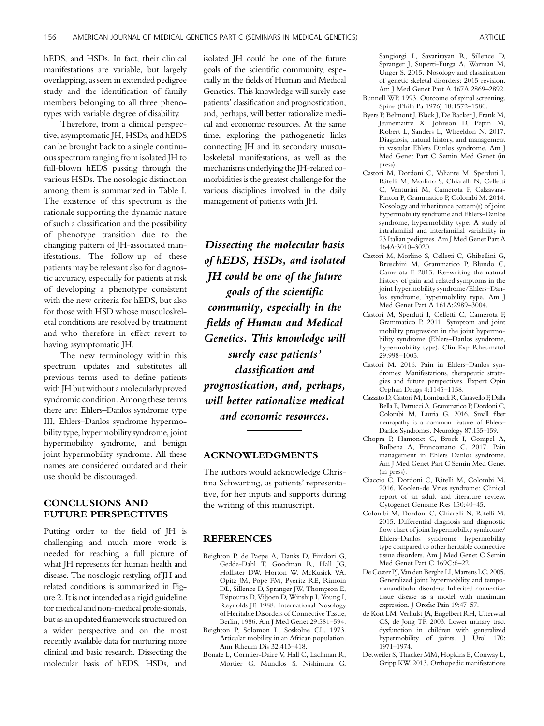hEDS, and HSDs. In fact, their clinical manifestations are variable, but largely overlapping, as seen in extended pedigree study and the identification of family members belonging to all three phenotypes with variable degree of disability.

Therefore, from a clinical perspective, asymptomatic JH, HSDs, and hEDS can be brought back to a single continuous spectrum ranging from isolated JH to full-blown hEDS passing through the various HSDs. The nosologic distinction among them is summarized in Table I. The existence of this spectrum is the rationale supporting the dynamic nature of such a classification and the possibility of phenotype transition due to the changing pattern of JH-associated manifestations. The follow-up of these patients may be relevant also for diagnostic accuracy, especially for patients at risk of developing a phenotype consistent with the new criteria for hEDS, but also for those with HSD whose musculoskeletal conditions are resolved by treatment and who therefore in effect revert to having asymptomatic JH.

The new terminology within this spectrum updates and substitutes all previous terms used to define patients with JH but without a molecularly proved syndromic condition. Among these terms there are: Ehlers–Danlos syndrome type III, Ehlers–Danlos syndrome hypermobility type, hypermobility syndrome, joint hypermobility syndrome, and benign joint hypermobility syndrome. All these names are considered outdated and their use should be discouraged.

## CONCLUSIONS AND FUTURE PERSPECTIVES

Putting order to the field of JH is challenging and much more work is needed for reaching a full picture of what JH represents for human health and disease. The nosologic restyling of JH and related conditions is summarized in Figure 2. It is not intended as a rigid guideline for medical and non-medical professionals, but as an updated framework structured on a wider perspective and on the most recently available data for nurturing more clinical and basic research. Dissecting the molecular basis of hEDS, HSDs, and

isolated JH could be one of the future goals of the scientific community, especially in the fields of Human and Medical Genetics. This knowledge will surely ease patients' classification and prognostication, and, perhaps, will better rationalize medical and economic resources. At the same time, exploring the pathogenetic links connecting JH and its secondary musculoskeletal manifestations, as well as the mechanisms underlying the JH-related comorbidities is the greatest challenge for the various disciplines involved in the daily management of patients with JH.

Dissecting the molecular basis of hEDS, HSDs, and isolated JH could be one of the future goals of the scientific community, especially in the fields of Human and Medical Genetics. This knowledge will surely ease patients' classification and prognostication, and, perhaps, will better rationalize medical and economic resources.

### ACKNOWLEDGMENTS

The authors would acknowledge Christina Schwarting, as patients' representative, for her inputs and supports during the writing of this manuscript.

### REFERENCES

- Beighton P, de Paepe A, Danks D, Finidori G, Gedde-Dahl T, Goodman R, Hall JG, Hollister DW, Horton W, McKusick VA, Opitz JM, Pope FM, Pyeritz RE, Rimoin DL, Sillence D, Spranger JW, Thompson E, Tsipouras D, Viljoen D, Winship I, Young I, Reynolds JF. 1988. International Nosology of Heritable Disorders of Connective Tissue, Berlin, 1986. Am J Med Genet 29:581–594.
- Beighton P, Solomon L, Soskolne CL. 1973. Articular mobility in an African population. Ann Rheum Dis 32:413–418.
- Bonafe L, Cormier-Daire V, Hall C, Lachman R, Mortier G, Mundlos S, Nishimura G,

Sangiorgi L, Savarirayan R, Sillence D, Spranger J, Superti-Furga A, Warman M, Unger S. 2015. Nosology and classification of genetic skeletal disorders: 2015 revision. Am J Med Genet Part A 167A:2869–2892.

- Bunnell WP. 1993. Outcome of spinal screening. Spine (Phila Pa 1976) 18:1572–1580.
- Byers P, Belmont J, Black J, De Backer J, Frank M, Jeunemaitre X, Johnson D, Pepin M, Robert L, Sanders L, Wheeldon N. 2017. Diagnosis, natural history, and management in vascular Ehlers Danlos syndrome. Am J Med Genet Part C Semin Med Genet (in press).
- Castori M, Dordoni C, Valiante M, Sperduti I, Ritelli M, Morlino S, Chiarelli N, Celletti C, Venturini M, Camerota F, Calzavara-Pinton P, Grammatico P, Colombi M. 2014. Nosology and inheritance pattern(s) of joint hypermobility syndrome and Ehlers–Danlos syndrome, hypermobility type: A study of intrafamilial and interfamilial variability in 23 Italian pedigrees. Am J Med Genet Part A 164A:3010–3020.
- Castori M, Morlino S, Celletti C, Ghibellini G, Bruschini M, Grammatico P, Blundo C, Camerota F. 2013. Re-writing the natural history of pain and related symptoms in the joint hypermobility syndrome/Ehlers–Danlos syndrome, hypermobility type. Am J Med Genet Part A 161A:2989–3004.
- Castori M, Sperduti I, Celletti C, Camerota F, Grammatico P. 2011. Symptom and joint mobility progression in the joint hypermobility syndrome (Ehlers–Danlos syndrome, hypermobility type). Clin Exp Rheumatol 29:998–1005.
- Castori M. 2016. Pain in Ehlers–Danlos syndromes: Manifestations, therapeutic strategies and future perspectives. Expert Opin Orphan Drugs 4:1145–1158.
- Cazzato D, Castori M, Lombardi R, Caravello F, Dalla Bella E, Petrucci A, Grammatico P, Dordoni C, Colombi M, Lauria G. 2016. Small fiber neuropathy is a common feature of Ehlers– Danlos Syndromes. Neurology 87:155–159.
- Chopra P, Hamonet C, Brock I, Gompel A, Bulbena A, Francomano C. 2017. Pain management in Ehlers Danlos syndrome. Am J Med Genet Part C Semin Med Genet (in press).
- Ciaccio C, Dordoni C, Ritelli M, Colombi M. 2016. Koolen-de Vries syndrome: Clinical report of an adult and literature review. Cytogenet Genome Res 150:40–45.
- Colombi M, Dordoni C, Chiarelli N, Ritelli M. 2015. Differential diagnosis and diagnostic flow chart of joint hypermobility syndrome/ Ehlers–Danlos syndrome hypermobility type compared to other heritable connective tissue disorders. Am J Med Genet C Semin Med Genet Part C 169C:6–22.
- De Coster PJ, Van den Berghe LI, Martens LC. 2005. Generalized joint hypermobility and temporomandibular disorders: Inherited connective tissue disease as a model with maximum expression. J Orofac Pain 19:47–57.
- de Kort LM, Verhulst JA, Engelbert RH, Uiterwaal CS, de Jong TP. 2003. Lower urinary tract dysfunction in children with generalized hypermobility of joints. J Urol 170: 1971–1974.
- Detweiler S, Thacker MM, Hopkins E, Conway L, Gripp KW. 2013. Orthopedic manifestations